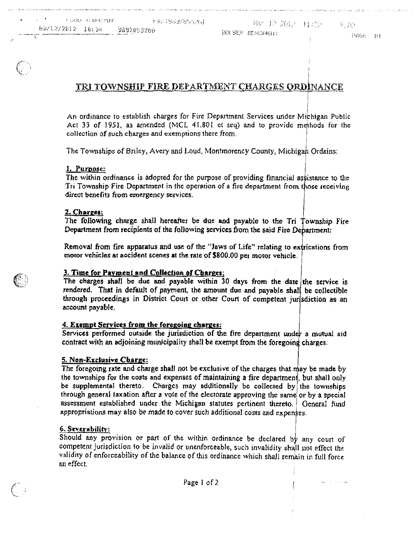**Agency** Contractor

PAGE (1)

# TRI TOWNSHIP FIRE DEPARTMENT CHARGES ORDINANCE

An ordinance to establish charges for Fire Department Services under Michigan Public Act 33 of 1951, as amended (MCL 41.801 et seq) and to provide methods for the collection of such charges and exemptions there from.

The Townships of Briley, Avery and Loud, Montmorency County, Michigan Ordains:

#### 1. Purpose:

The within ordinance is adopted for the purpose of providing financial assistance to the Tri Township Fire Department in the operation of a fire department from those receiving direct benefits from emergency services.

#### 2. Charges:

The following charge shall hereafter be due and payable to the Tri Township Fire Department from recipients of the following services from the said Fire Department;

Removal from fire apparatus and use of the "Jaws of Life" relating to extrications from motor vehicles ax accident scenes at the rate of \$800.00 per motor vehicle,

#### 3. Time for Payment and Collection of Charges:

The charges shall be due and payable within  $30$  days from the date the service is rendered. That in default of payment, the amount due and payable shall be collectible through proceedings in District Court or other Court of competent jurisdiction as an account payable.

#### 4. Exempt Services from the foregoing charges:

Services performed outside the jurisdiction of the fire department under a mutual aid contract with an adjoining municipality shall be exempt from the foregoing charges.

#### 5. Non-Exclusive Cbarzc:

The foregoing rate and charge shall not be exclusive of the charges that may be made by the townships for the costs and expenses of maintaining a fire department, but shall only be supplemental thereto. Charges may additionally be collected by the townships through general taxation after a vote of the electorate approving the same or by a special assessment established under the Michigan statutes pertinent thereto. General fund appropriations may also be made to cover such additional costs and expenses.

#### 6. Severability

Should any provision or part of the within ordinance be declared by any court of competent jurisdiction to be invalid or unenforceable, such invalidity shall not effect the validity of enforceability of the balance of this ordinance which shall remiain in full force an effect,



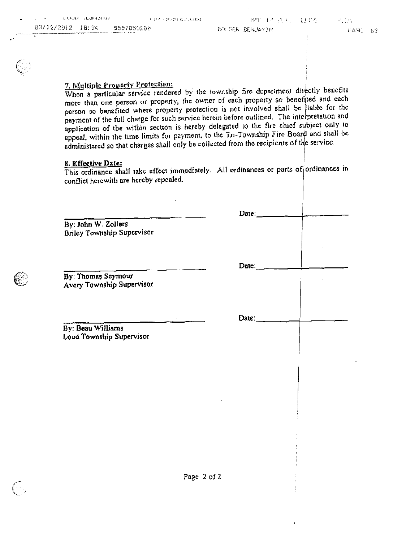| <b>Contract Contract Street</b> | 一 长心心息 计口进序语言序                                                                                                                                | す はふ・これを行わることもよ。                   | 「俺には人込身と、打つり - 民事に |         |
|---------------------------------|-----------------------------------------------------------------------------------------------------------------------------------------------|------------------------------------|--------------------|---------|
|                                 | 03/12/2012 10:34 9897859200<br>en de la maritagn de composition de la production de la production de la companya de la production de la compa | a management of the first state of | BOLSER BERJAKIN    | 计AGE 6字 |

### 7. Multiple Property Profection:

When a particular service rendered by the township fire department directly benefits more than one person or property, the owner of each property so benefited and each person so benefited where property protection is not involved shall be liable for the payment of the full charge for such service herein before outlined. The interpretation and application of the within section is hereby delegated to the fire chief subject only to appeal, within the time limits for payment, to the Tri-Township Fire Board and shall be. administered so that charges shall only be collected from the recipients of the service.

#### 8. Effective Date:

This ordinance shall take effect immediately. All ordinances or parts of ordinances in conflict herewith are hereby repealed.

Date:

Date:

Date:

By: John W. Zollars Briley Township Supervisor

By: Thomas Seymour Avery Township Supervisor

By: Beau Williams Loud Township Supervisor